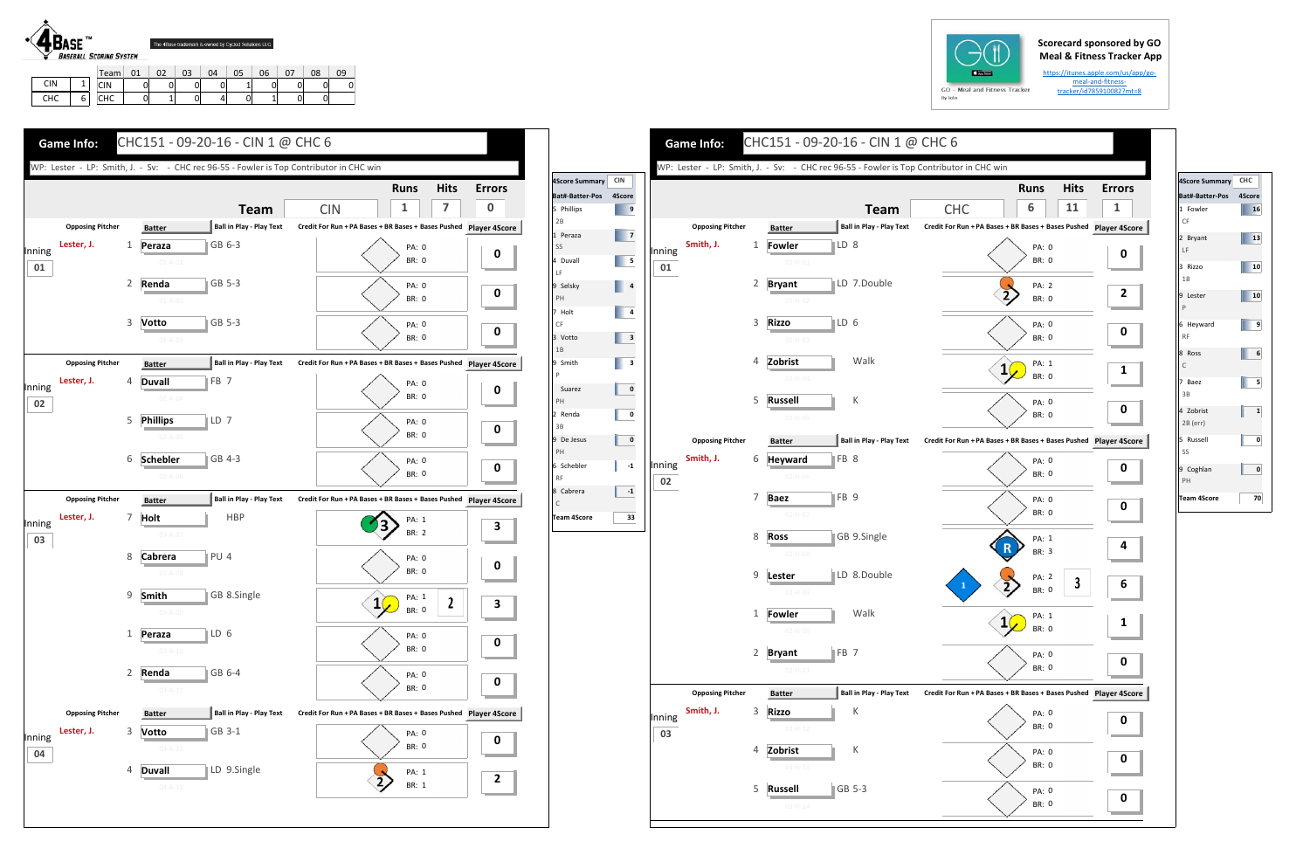## **Scorecard sponsored by GO Meal & Fitness Tracker App**

https://itunes.apple.com/us/app/go‐ meal-and-fitnesstracker/id785910082?mt=8



CHC

6

CIN | 0 | 0 | 0 | 0 | 1 | 0 | 0 | 0 | 0 CHC | 0| 1| 0| 4| 0| 1| 0| 0







| 4Score Summary CHC       |        |
|--------------------------|--------|
| Bat#-Batter-Pos          | 4Score |
| 1 Fowler<br>CF           | 16     |
| 2 Bryant<br>LF.          | 13     |
| 3 Rizzo<br>1B            | 10     |
| 9 Lester<br>$\mathsf{P}$ | 10     |
| 6 Heyward<br><b>RF</b>   | 9      |
| 8 Ross<br>$\mathsf{C}$   | 6      |
| 7 Baez<br>3B             | 5      |
| 4 Zobrist<br>2B (err)    | 1      |
| 5 Russell<br>SS          | ٥      |
| 9 Coghlan<br>PH          | 0      |
| <b>Team 4Score</b>       | 70     |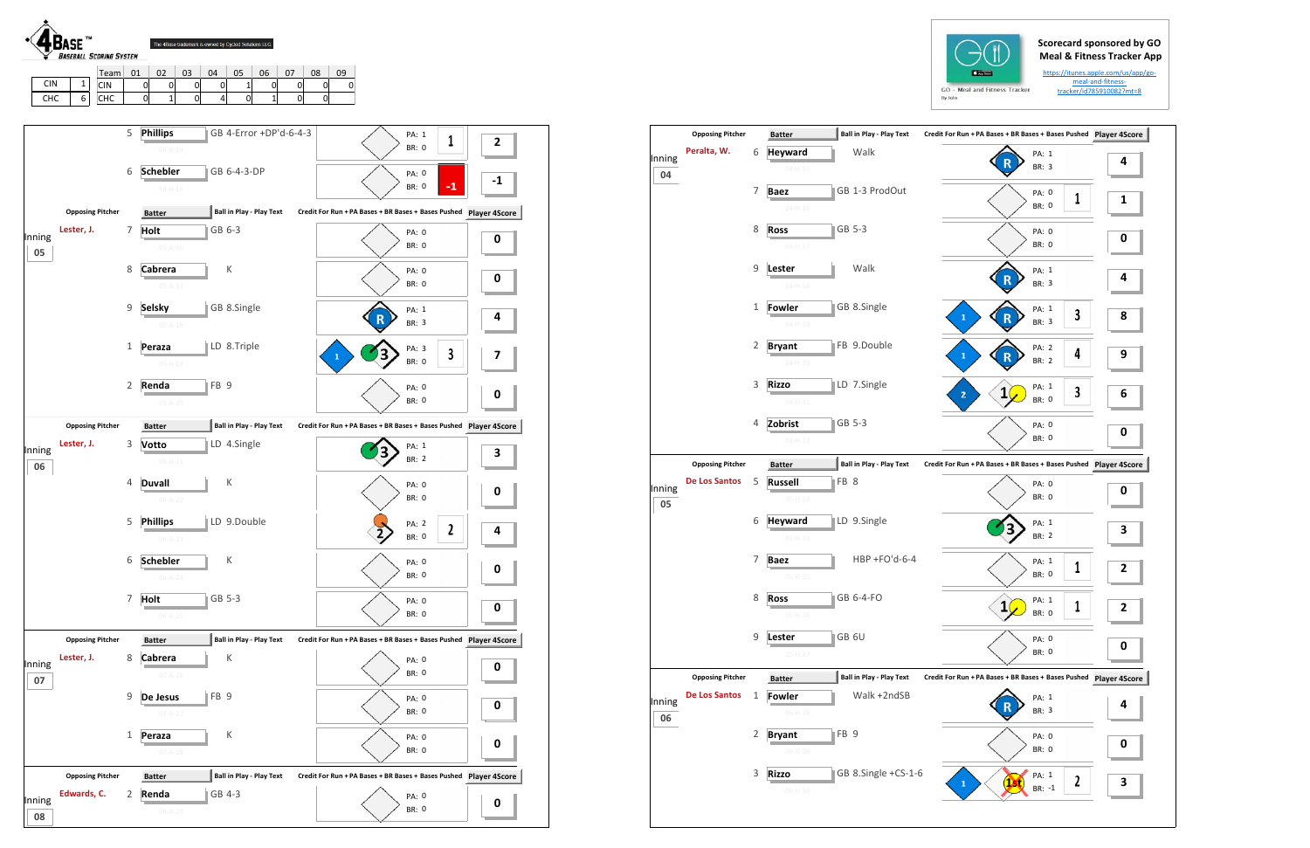## **Scorecard sponsored by GO Meal & Fitness Tracker App**

https://itunes.apple.com/us/app/go‐ meal‐and‐fitness‐ tracker/id785910082?mt=8





|              | <b>Opposing Pitcher</b> |   | <b>Batter</b>                                 | <b>Ball in Play - Play Text</b> | Credit For Run + PA Bases + BR Bases + Bases Pushed Player 4S |           |
|--------------|-------------------------|---|-----------------------------------------------|---------------------------------|---------------------------------------------------------------|-----------|
| Inning<br>04 | Peralta, W.             | 6 | <b>Heyward</b><br>$04 - H - 15$               | Walk                            | PA: 1<br>BR: 3                                                | 4         |
|              |                         | 7 | <b>Baez</b><br>$04-H-16$                      | GB 1-3 ProdOut                  | PA: 0<br>1<br><b>BR: 0</b>                                    | 1         |
|              |                         | 8 | <b>Ross</b><br>$04 - H - 17$                  | GB 5-3                          | PA: 0<br><b>BR: 0</b>                                         | 0         |
|              |                         | 9 | Lester<br>$04 - H - 18$                       | Walk                            | PA: 1<br>BR: 3                                                | 4         |
|              |                         | 1 | Fowler<br>$04 - H - 19$                       | GB 8.Single                     | PA: 1<br>3<br>$\mathbf{1}$<br>R<br>BR: 3                      | 8         |
|              |                         | 2 | <b>Bryant</b><br>$04 - H - 20$                | FB 9.Double                     | PA: 2<br>4<br>$\mathbf{1}$<br>BR: 2                           | 9         |
|              |                         | 3 | <b>Rizzo</b><br>$04 - H - 21$                 | LD 7.Single                     | PA: 1<br>3<br>$\mathbf{1}$<br>2<br><b>BR: 0</b>               | 6         |
|              |                         | 4 | Zobrist<br>$04-H-22$                          | GB 5-3                          | PA: 0<br><b>BR: 0</b>                                         | 0         |
|              | <b>Opposing Pitcher</b> |   | <b>Batter</b>                                 | <b>Ball in Play - Play Text</b> | Credit For Run + PA Bases + BR Bases + Bases Pushed           | Player 49 |
| Inning<br>05 | <b>De Los Santos</b>    | 5 | FB 8<br><b>Russell</b><br>$05-H-23$           |                                 | PA: 0<br><b>BR: 0</b>                                         | 0         |
|              |                         | 6 | <b>Heyward</b><br>$05-H-24$                   | LD 9.Single                     | PA: 1<br>BR: 2                                                | 3         |
|              |                         | 7 | <b>Baez</b><br>$05-H-25$                      | $HBP + FO'd-6-4$                | PA: 1<br>1<br><b>BR: 0</b>                                    | 2         |
|              |                         | 8 | <b>Ross</b><br>$05-H-26$                      | GB 6-4-FO                       | PA: 1<br>1<br>BR: 0                                           | 2         |
|              |                         | 9 | GB 6U<br>Lester<br>05-H-27                    |                                 | PA: 0<br>BR: 0                                                | 0         |
|              | <b>Opposing Pitcher</b> |   | <b>Batter</b>                                 | <b>Ball in Play - Play Text</b> | Credit For Run + PA Bases + BR Bases + Bases Pushed Player 4S |           |
| Inning<br>06 | <b>De Los Santos</b>    | 1 | <b>Fowler</b><br>$06-H-28$                    | Walk +2ndSB                     | PA: 1<br>BR: 3                                                | 4         |
|              |                         | 2 | FB <sub>9</sub><br><b>Bryant</b><br>$06-H-29$ |                                 | PA: 0<br>BR: 0                                                | 0         |
|              |                         | 3 | <b>Rizzo</b>                                  | GB 8.Single +CS-1-6             | PA: 1<br>2<br>$\mathbf{1}$                                    | 3         |